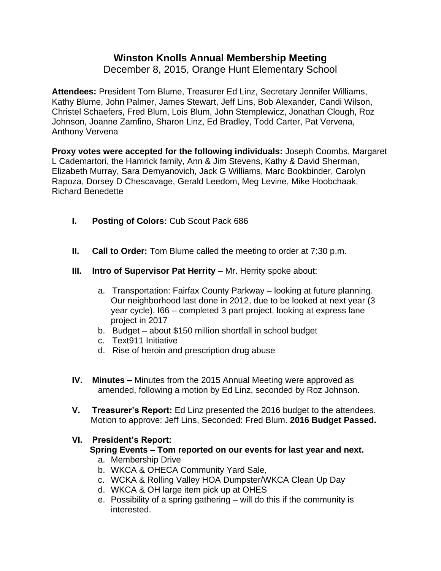# **Winston Knolls Annual Membership Meeting**

December 8, 2015, Orange Hunt Elementary School

**Attendees:** President Tom Blume, Treasurer Ed Linz, Secretary Jennifer Williams, Kathy Blume, John Palmer, James Stewart, Jeff Lins, Bob Alexander, Candi Wilson, Christel Schaefers, Fred Blum, Lois Blum, John Stemplewicz, Jonathan Clough, Roz Johnson, Joanne Zamfino, Sharon Linz, Ed Bradley, Todd Carter, Pat Vervena, Anthony Vervena

**Proxy votes were accepted for the following individuals:** Joseph Coombs, Margaret L Cademartori, the Hamrick family, Ann & Jim Stevens, Kathy & David Sherman, Elizabeth Murray, Sara Demyanovich, Jack G Williams, Marc Bookbinder, Carolyn Rapoza, Dorsey D Chescavage, Gerald Leedom, Meg Levine, Mike Hoobchaak, Richard Benedette

- **I. Posting of Colors:** Cub Scout Pack 686
- **II.** Call to Order: Tom Blume called the meeting to order at 7:30 p.m.
- **III. Intro of Supervisor Pat Herrity** Mr. Herrity spoke about:
	- a. Transportation: Fairfax County Parkway looking at future planning. Our neighborhood last done in 2012, due to be looked at next year (3 year cycle). I66 – completed 3 part project, looking at express lane project in 2017
	- b. Budget about \$150 million shortfall in school budget
	- c. Text911 Initiative
	- d. Rise of heroin and prescription drug abuse
- **IV. Minutes –** Minutes from the 2015 Annual Meeting were approved as amended, following a motion by Ed Linz, seconded by Roz Johnson.
- **V. Treasurer's Report:** Ed Linz presented the 2016 budget to the attendees. Motion to approve: Jeff Lins, Seconded: Fred Blum. **2016 Budget Passed.**

### **VI. President's Report:**

## **Spring Events – Tom reported on our events for last year and next.**

- a. Membership Drive
- b. WKCA & OHECA Community Yard Sale,
- c. WCKA & Rolling Valley HOA Dumpster/WKCA Clean Up Day
- d. WKCA & OH large item pick up at OHES
- e. Possibility of a spring gathering will do this if the community is interested.